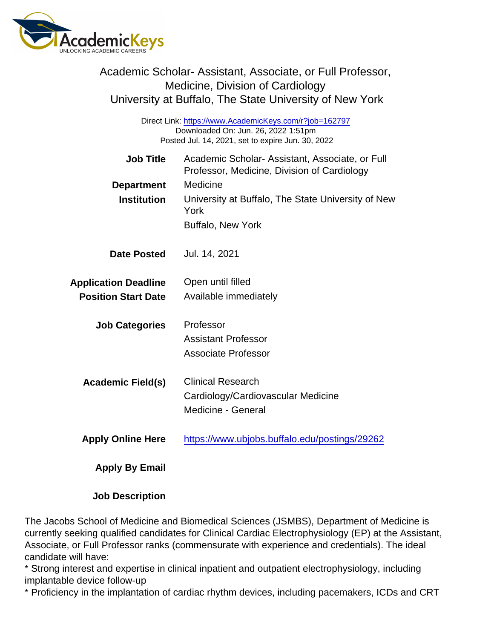| Academic Scholar-Assistant, Associate, or Full Professor,<br>Medicine, Division of Cardiology<br>University at Buffalo, The State University of New York |                                                                                               |
|----------------------------------------------------------------------------------------------------------------------------------------------------------|-----------------------------------------------------------------------------------------------|
| Direct Link: https://www.AcademicKeys.com/r?job=162797<br>Downloaded On: Jun. 26, 2022 1:51pm<br>Posted Jul. 14, 2021, set to expire Jun. 30, 2022       |                                                                                               |
| <b>Job Title</b>                                                                                                                                         | Academic Scholar-Assistant, Associate, or Full<br>Professor, Medicine, Division of Cardiology |
| Department                                                                                                                                               | Medicine                                                                                      |
| Institution                                                                                                                                              | University at Buffalo, The State University of New<br>York                                    |
|                                                                                                                                                          | <b>Buffalo, New York</b>                                                                      |
| Date Posted                                                                                                                                              | Jul. 14, 2021                                                                                 |
| <b>Application Deadline</b>                                                                                                                              | Open until filled                                                                             |
| <b>Position Start Date</b>                                                                                                                               | Available immediately                                                                         |
| <b>Job Categories</b>                                                                                                                                    | Professor                                                                                     |
|                                                                                                                                                          | <b>Assistant Professor</b>                                                                    |
|                                                                                                                                                          | <b>Associate Professor</b>                                                                    |
| Academic Field(s)                                                                                                                                        | <b>Clinical Research</b>                                                                      |
|                                                                                                                                                          | Cardiology/Cardiovascular Medicine                                                            |
|                                                                                                                                                          | <b>Medicine - General</b>                                                                     |
| <b>Apply Online Here</b>                                                                                                                                 | https://www.ubjobs.buffalo.edu/postings/29262                                                 |
| Apply By Email                                                                                                                                           |                                                                                               |
| <b>Job Description</b>                                                                                                                                   |                                                                                               |

The Jacobs School of Medicine and Biomedical Sciences (JSMBS), Department of Medicine is currently seeking qualified candidates for Clinical Cardiac Electrophysiology (EP) at the Assistant, Associate, or Full Professor ranks (commensurate with experience and credentials). The ideal candidate will have:

\* Strong interest and expertise in clinical inpatient and outpatient electrophysiology, including implantable device follow-up

\* Proficiency in the implantation of cardiac rhythm devices, including pacemakers, ICDs and CRT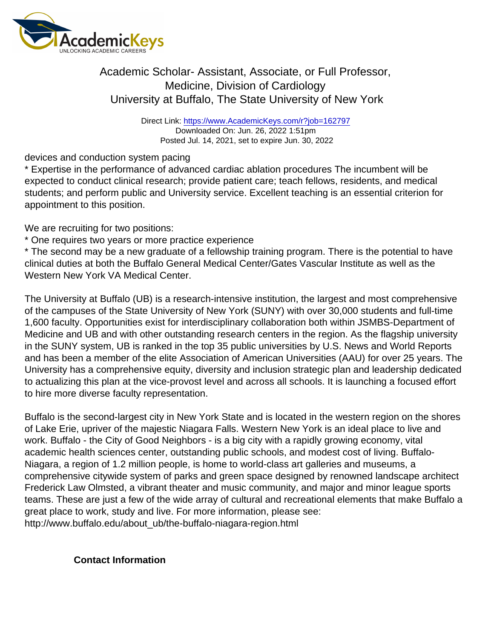## Academic Scholar- Assistant, Associate, or Full Professor, Medicine, Division of Cardiology University at Buffalo, The State University of New York

Direct Link: <https://www.AcademicKeys.com/r?job=162797> Downloaded On: Jun. 26, 2022 1:51pm Posted Jul. 14, 2021, set to expire Jun. 30, 2022

devices and conduction system pacing

\* Expertise in the performance of advanced cardiac ablation procedures The incumbent will be expected to conduct clinical research; provide patient care; teach fellows, residents, and medical students; and perform public and University service. Excellent teaching is an essential criterion for appointment to this position.

We are recruiting for two positions:

\* One requires two years or more practice experience

\* The second may be a new graduate of a fellowship training program. There is the potential to have clinical duties at both the Buffalo General Medical Center/Gates Vascular Institute as well as the Western New York VA Medical Center.

The University at Buffalo (UB) is a research-intensive institution, the largest and most comprehensive of the campuses of the State University of New York (SUNY) with over 30,000 students and full-time 1,600 faculty. Opportunities exist for interdisciplinary collaboration both within JSMBS-Department of Medicine and UB and with other outstanding research centers in the region. As the flagship university in the SUNY system, UB is ranked in the top 35 public universities by U.S. News and World Reports and has been a member of the elite Association of American Universities (AAU) for over 25 years. The University has a comprehensive equity, diversity and inclusion strategic plan and leadership dedicated to actualizing this plan at the vice-provost level and across all schools. It is launching a focused effort to hire more diverse faculty representation.

Buffalo is the second-largest city in New York State and is located in the western region on the shores of Lake Erie, upriver of the majestic Niagara Falls. Western New York is an ideal place to live and work. Buffalo - the City of Good Neighbors - is a big city with a rapidly growing economy, vital academic health sciences center, outstanding public schools, and modest cost of living. Buffalo-Niagara, a region of 1.2 million people, is home to world-class art galleries and museums, a comprehensive citywide system of parks and green space designed by renowned landscape architect Frederick Law Olmsted, a vibrant theater and music community, and major and minor league sports teams. These are just a few of the wide array of cultural and recreational elements that make Buffalo a great place to work, study and live. For more information, please see: http://www.buffalo.edu/about\_ub/the-buffalo-niagara-region.html

Contact Information